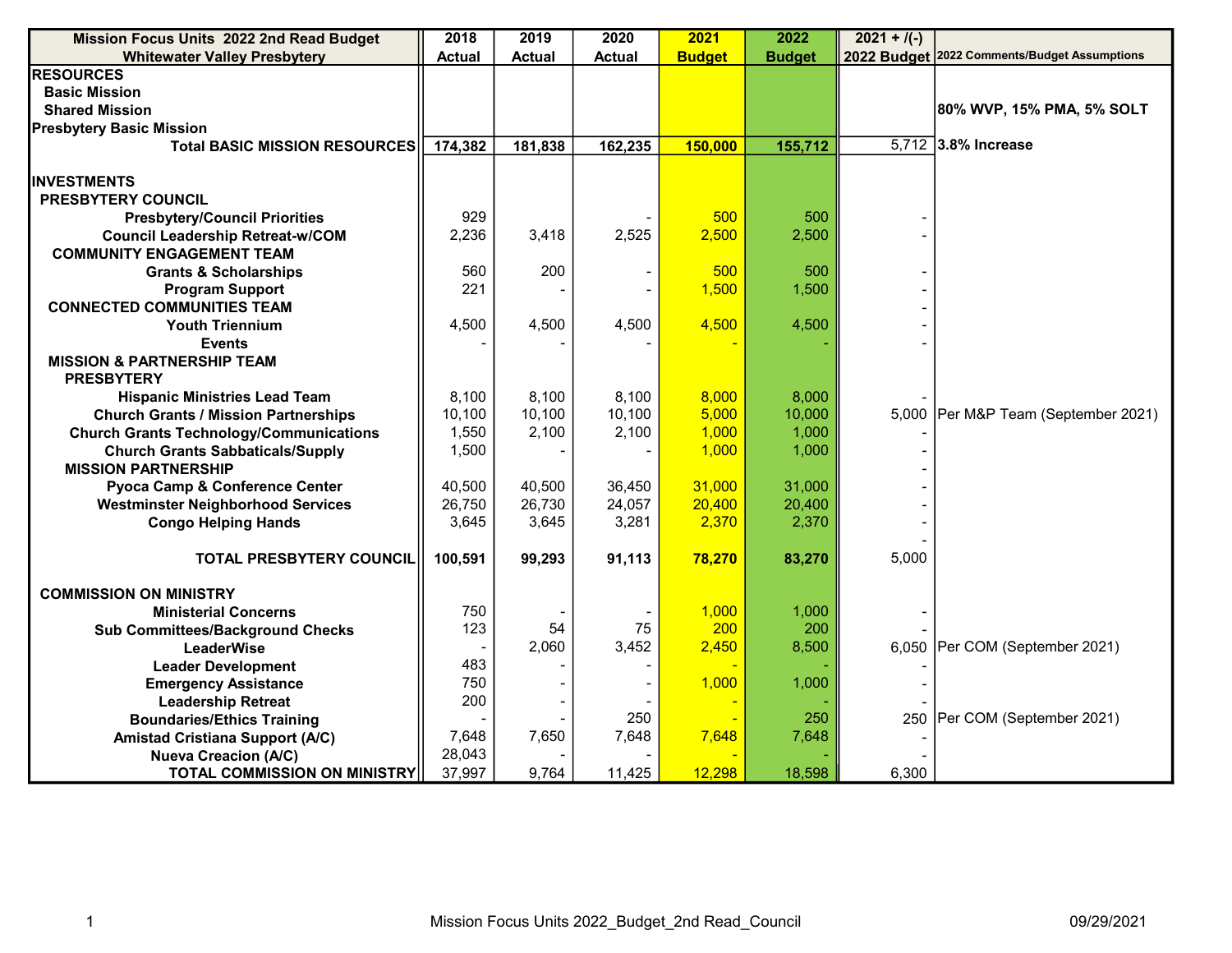| Mission Focus Units 2022 2nd Read Budget       | 2018          | 2019          | 2020          | 2021          | 2022          | $\sqrt{2021 + 7(-)}$ |                                              |
|------------------------------------------------|---------------|---------------|---------------|---------------|---------------|----------------------|----------------------------------------------|
| <b>Whitewater Valley Presbytery</b>            | <b>Actual</b> | <b>Actual</b> | <b>Actual</b> | <b>Budget</b> | <b>Budget</b> |                      | 2022 Budget 2022 Comments/Budget Assumptions |
| <b>RESOURCES</b>                               |               |               |               |               |               |                      |                                              |
| <b>Basic Mission</b>                           |               |               |               |               |               |                      |                                              |
| <b>Shared Mission</b>                          |               |               |               |               |               |                      | 80% WVP, 15% PMA, 5% SOLT                    |
| <b>Presbytery Basic Mission</b>                |               |               |               |               |               |                      |                                              |
| <b>Total BASIC MISSION RESOURCES</b>           | 174,382       | 181,838       | 162,235       | 150,000       | 155,712       |                      | 5,712 3.8% Increase                          |
|                                                |               |               |               |               |               |                      |                                              |
| <b>IINVESTMENTS</b>                            |               |               |               |               |               |                      |                                              |
| <b>PRESBYTERY COUNCIL</b>                      |               |               |               |               |               |                      |                                              |
| <b>Presbytery/Council Priorities</b>           | 929           |               |               | 500           | 500           |                      |                                              |
| <b>Council Leadership Retreat-w/COM</b>        | 2,236         | 3,418         | 2,525         | 2,500         | 2,500         |                      |                                              |
| <b>COMMUNITY ENGAGEMENT TEAM</b>               |               |               |               |               |               |                      |                                              |
| <b>Grants &amp; Scholarships</b>               | 560           | 200           |               | 500           | 500           |                      |                                              |
| <b>Program Support</b>                         | 221           |               |               | 1,500         | 1,500         |                      |                                              |
| <b>CONNECTED COMMUNITIES TEAM</b>              |               |               |               |               |               |                      |                                              |
| <b>Youth Triennium</b>                         | 4,500         | 4,500         | 4,500         | 4,500         | 4,500         |                      |                                              |
| <b>Events</b>                                  |               |               |               |               |               |                      |                                              |
| <b>MISSION &amp; PARTNERSHIP TEAM</b>          |               |               |               |               |               |                      |                                              |
| <b>PRESBYTERY</b>                              |               |               |               |               |               |                      |                                              |
| <b>Hispanic Ministries Lead Team</b>           | 8,100         | 8,100         | 8,100         | 8,000         | 8,000         |                      |                                              |
| <b>Church Grants / Mission Partnerships</b>    | 10,100        | 10,100        | 10,100        | 5,000         | 10,000        |                      | 5,000 Per M&P Team (September 2021)          |
| <b>Church Grants Technology/Communications</b> | 1,550         | 2,100         | 2,100         | 1,000         | 1,000         |                      |                                              |
| <b>Church Grants Sabbaticals/Supply</b>        | 1,500         |               |               | 1,000         | 1,000         |                      |                                              |
| <b>MISSION PARTNERSHIP</b>                     |               |               |               |               |               |                      |                                              |
| Pyoca Camp & Conference Center                 | 40,500        | 40,500        | 36,450        | 31,000        | 31,000        |                      |                                              |
| <b>Westminster Neighborhood Services</b>       | 26,750        | 26,730        | 24,057        | 20,400        | 20,400        |                      |                                              |
| <b>Congo Helping Hands</b>                     | 3,645         | 3,645         | 3,281         | 2,370         | 2,370         |                      |                                              |
|                                                |               |               |               |               |               |                      |                                              |
| <b>TOTAL PRESBYTERY COUNCIL</b>                | 100,591       | 99,293        | 91,113        | 78,270        | 83,270        | 5,000                |                                              |
|                                                |               |               |               |               |               |                      |                                              |
| <b>COMMISSION ON MINISTRY</b>                  |               |               |               |               |               |                      |                                              |
| <b>Ministerial Concerns</b>                    | 750           |               |               | 1,000         | 1,000         |                      |                                              |
| <b>Sub Committees/Background Checks</b>        | 123           | 54            | 75            | 200           | 200           |                      |                                              |
| <b>LeaderWise</b>                              |               | 2,060         | 3,452         | 2,450         | 8,500         |                      | 6,050   Per COM (September 2021)             |
| <b>Leader Development</b>                      | 483           |               |               |               |               |                      |                                              |
| <b>Emergency Assistance</b>                    | 750           |               |               | 1,000         | 1,000         |                      |                                              |
| <b>Leadership Retreat</b>                      | 200           |               |               |               |               |                      |                                              |
| <b>Boundaries/Ethics Training</b>              |               |               | 250           |               | 250           |                      | 250   Per COM (September 2021)               |
| <b>Amistad Cristiana Support (A/C)</b>         | 7,648         | 7,650         | 7,648         | 7,648         | 7,648         |                      |                                              |
| <b>Nueva Creacion (A/C)</b>                    | 28,043        |               |               |               |               |                      |                                              |
| <b>TOTAL COMMISSION ON MINISTRY</b>            | 37,997        | 9,764         | 11,425        | 12,298        | 18,598        | 6,300                |                                              |